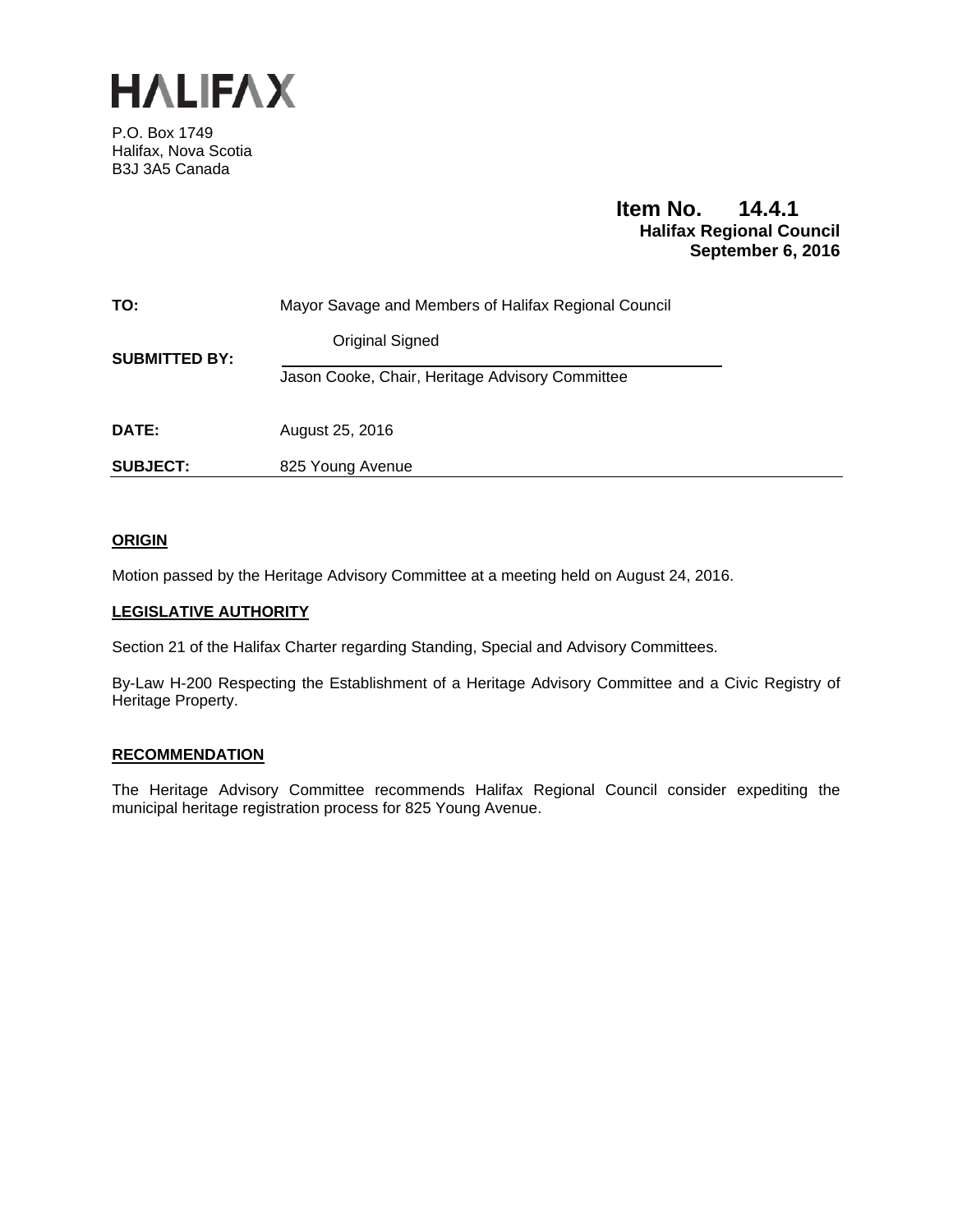

P.O. Box 1749 Halifax, Nova Scotia B3J 3A5 Canada

# **Item No. 14.4.1 Halifax Regional Council September 6, 2016**

| TO:                  | Mayor Savage and Members of Halifax Regional Council |
|----------------------|------------------------------------------------------|
| <b>SUBMITTED BY:</b> | Original Signed                                      |
|                      | Jason Cooke, Chair, Heritage Advisory Committee      |
| DATE:                | August 25, 2016                                      |
| <b>SUBJECT:</b>      | 825 Young Avenue                                     |

# **ORIGIN**

Motion passed by the Heritage Advisory Committee at a meeting held on August 24, 2016.

#### **LEGISLATIVE AUTHORITY**

Section 21 of the Halifax Charter regarding Standing, Special and Advisory Committees.

By-Law H-200 Respecting the Establishment of a Heritage Advisory Committee and a Civic Registry of Heritage Property.

# **RECOMMENDATION**

The Heritage Advisory Committee recommends Halifax Regional Council consider expediting the municipal heritage registration process for 825 Young Avenue.